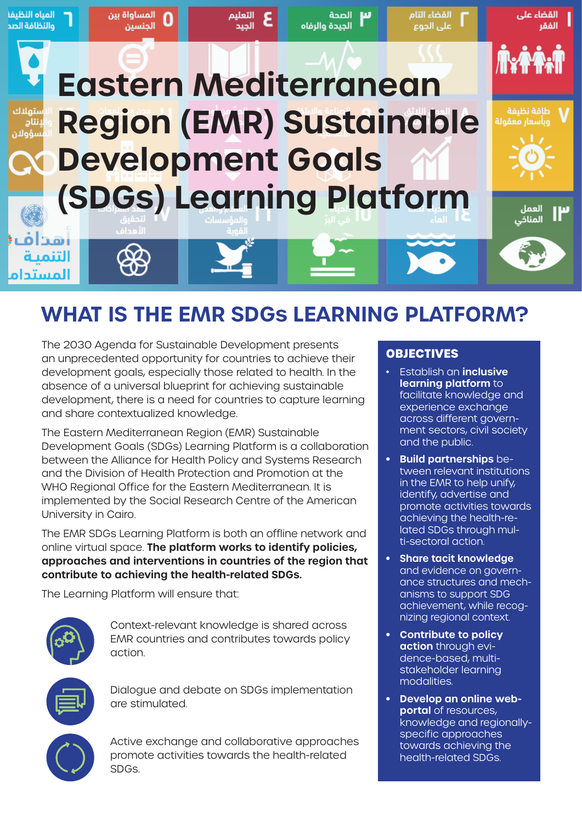

## **WHAT IS THE EMR SDGs LEARNING PLATFORM?**

The 2030 Agenda for Sustainable Development presents an unprecedented opportunity for countries to achieve their development goals, especially those related to health. In the absence of a universal blueprint for achieving sustainable development, there is a need for countries to capture learning and share contextualized knowledge.

The Eastern Mediterranean Region (EMR) Sustainable Development Goals (SDGs) Learning Platform is a collaboration between the Alliance for Health Policy and Systems Research and the Division of Health Protection and Promotion at the WHO Regional Office for the Eastern Mediterranean. It is implemented by the Social Research Centre of the American University in Cairo.

The EMR SDGs Learning Platform is both an offline network and online virtual space. **The platform works to identify policies, approaches and interventions in countries of the region that contribute to achieving the health-related SDGs.**

The Learning Platform will ensure that:

are stimulated.

SDGs.

Context-relevant knowledge is shared across EMR countries and contributes towards policy action.

Dialogue and debate on SDGs implementation



Active exchange and collaborative approaches promote activities towards the health-related

#### **OBJECTIVES**

- Establish an **inclusive learning platform** to facilitate knowledge and experience exchange across different government sectors, civil society and the public.
- **• Build partnerships** between relevant institutions in the EMR to help unify, identify, advertise and promote activities towards achieving the health-related SDGs through multi-sectoral action.
- **• Share tacit knowledge** and evidence on governance structures and mechanisms to support SDG achievement, while recognizing regional context.
- **• Contribute to policy action** through evidence-based, multistakeholder learning modalities.
- **• Develop an online webportal** of resources, knowledge and regionallyspecific approaches towards achieving the health-related SDGs.